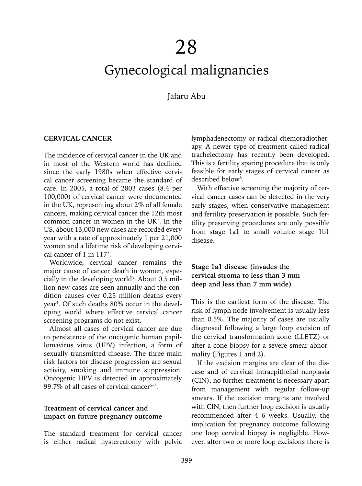# Gynecological malignancies

Jafaru Abu

#### **CERVICAL CANCER**

The incidence of cervical cancer in the UK and in most of the Western world has declined since the early 1980s when effective cervical cancer screening became the standard of care. In 2005, a total of 2803 cases (8.4 per 100,000) of cervical cancer were documented in the UK, representing about 2% of all female cancers, making cervical cancer the 12th most common cancer in women in the  $UK<sup>1</sup>$ . In the US, about 13,000 new cases are recorded every year with a rate of approximately 1 per 21,000 women and a lifetime risk of developing cervical cancer of 1 in 1172 .

Worldwide, cervical cancer remains the major cause of cancer death in women, especially in the developing world<sup>3</sup>. About  $0.5$  million new cases are seen annually and the condition causes over 0.25 million deaths every year4 . Of such deaths 80% occur in the developing world where effective cervical cancer screening programs do not exist.

Almost all cases of cervical cancer are due to persistence of the oncogenic human papillomavirus virus (HPV) infection, a form of sexually transmitted disease. The three main risk factors for disease progression are sexual activity, smoking and immune suppression. Oncogenic HPV is detected in approximately 99.7% of all cases of cervical cancer<sup>5-7</sup>.

#### **Treatment of cervical cancer and impact on future pregnancy outcome**

The standard treatment for cervical cancer is either radical hysterectomy with pelvic

lymphadenectomy or radical chemoradiotherapy. A newer type of treatment called radical trachelectomy has recently been developed. This is a fertility sparing procedure that is only feasible for early stages of cervical cancer as described below<sup>8</sup>.

With effective screening the majority of cervical cancer cases can be detected in the very early stages, when conservative management and fertility preservation is possible. Such fertility preserving procedures are only possible from stage 1a1 to small volume stage 1b1 disease.

## **Stage 1a1 disease (invades the cervical stroma to less than 3 mm deep and less than 7 mm wide)**

This is the earliest form of the disease. The risk of lymph node involvement is usually less than 0.5%. The majority of cases are usually diagnosed following a large loop excision of the cervical transformation zone (LLETZ) or after a cone biopsy for a severe smear abnormality (Figures 1 and 2).

If the excision margins are clear of the disease and of cervical intraepithelial neoplasia (CIN), no further treatment is necessary apart from management with regular follow-up smears. If the excision margins are involved with CIN, then further loop excision is usually recommended after 4–6 weeks. Usually, the implication for pregnancy outcome following one loop cervical biopsy is negligible. However, after two or more loop excisions there is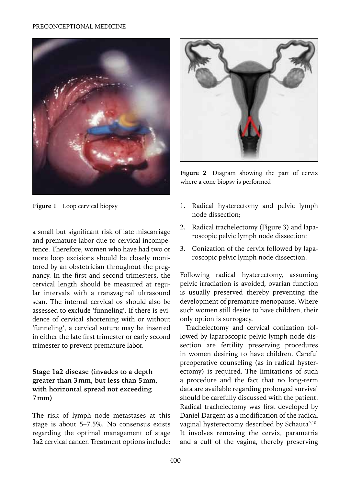#### PRECONCEPTIONAL MEDICINE



**Figure 1** Loop cervical biopsy

a small but significant risk of late miscarriage and premature labor due to cervical incompetence. Therefore, women who have had two or more loop excisions should be closely monitored by an obstetrician throughout the pregnancy. In the first and second trimesters, the cervical length should be measured at regular intervals with a transvaginal ultrasound scan. The internal cervical os should also be assessed to exclude 'funneling'. If there is evidence of cervical shortening with or without 'funneling', a cervical suture may be inserted in either the late first trimester or early second trimester to prevent premature labor.

## **Stage 1a2 disease (invades to a depth greater than 3mm, but less than 5mm, with horizontal spread not exceeding 7mm)**

The risk of lymph node metastases at this stage is about 5–7.5%. No consensus exists regarding the optimal management of stage 1a2 cervical cancer. Treatment options include:



**Figure 2** Diagram showing the part of cervix where a cone biopsy is performed

- 1. Radical hysterectomy and pelvic lymph node dissection;
- 2. Radical trachelectomy (Figure 3) and laparoscopic pelvic lymph node dissection;
- 3. Conization of the cervix followed by laparoscopic pelvic lymph node dissection.

Following radical hysterectomy, assuming pelvic irradiation is avoided, ovarian function is usually preserved thereby preventing the development of premature menopause. Where such women still desire to have children, their only option is surrogacy.

Trachelectomy and cervical conization followed by laparoscopic pelvic lymph node dissection are fertility preserving procedures in women desiring to have children. Careful preoperative counseling (as in radical hysterectomy) is required. The limitations of such a procedure and the fact that no long-term data are available regarding prolonged survival should be carefully discussed with the patient. Radical trachelectomy was first developed by Daniel Dargent as a modification of the radical vaginal hysterectomy described by Schauta<sup>9,10</sup>. It involves removing the cervix, parametria and a cuff of the vagina, thereby preserving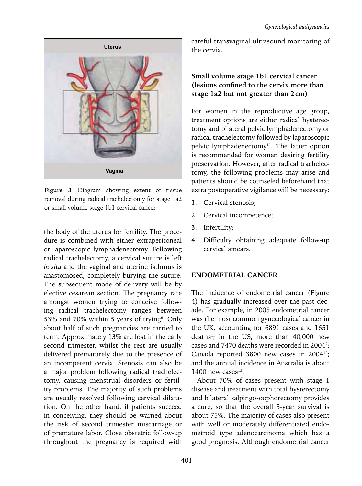

**Figure 3** Diagram showing extent of tissue removal during radical trachelectomy for stage 1a2 or small volume stage 1b1 cervical cancer

the body of the uterus for fertility. The procedure is combined with either extraperitoneal or laparoscopic lymphadenectomy. Following radical trachelectomy, a cervical suture is left *in situ* and the vaginal and uterine isthmus is anastomosed, completely burying the suture. The subsequent mode of delivery will be by elective cesarean section. The pregnancy rate amongst women trying to conceive following radical trachelectomy ranges between 53% and 70% within 5 years of trying<sup>8</sup>. Only about half of such pregnancies are carried to term. Approximately 13% are lost in the early second trimester, whilst the rest are usually delivered prematurely due to the presence of an incompetent cervix. Stenosis can also be a major problem following radical trachelectomy, causing menstrual disorders or fertility problems. The majority of such problems are usually resolved following cervical dilatation. On the other hand, if patients succeed in conceiving, they should be warned about the risk of second trimester miscarriage or of premature labor. Close obstetric follow-up throughout the pregnancy is required with

careful transvaginal ultrasound monitoring of the cervix.

## **Small volume stage 1b1 cervical cancer (lesions confined to the cervix more than stage 1a2 but not greater than 2cm)**

For women in the reproductive age group, treatment options are either radical hysterectomy and bilateral pelvic lymphadenectomy or radical trachelectomy followed by laparoscopic pelvic lymphadenectomy<sup>11</sup>. The latter option is recommended for women desiring fertility preservation. However, after radical trachelectomy, the following problems may arise and patients should be counseled beforehand that extra postoperative vigilance will be necessary:

- 1. Cervical stenosis;
- 2. Cervical incompetence;
- 3. Infertility;
- 4. Difficulty obtaining adequate follow-up cervical smears.

## **ENDOMETRIAL CANCER**

The incidence of endometrial cancer (Figure 4) has gradually increased over the past decade. For example, in 2005 endometrial cancer was the most common gynecological cancer in the UK, accounting for 6891 cases and 1651 deaths<sup>1</sup>; in the US, more than 40,000 new cases and 7470 deaths were recorded in 2004<sup>2</sup>; Canada reported 3800 new cases in 2004<sup>12</sup>; and the annual incidence in Australia is about 1400 new cases $^{13}$ .

About 70% of cases present with stage 1 disease and treatment with total hysterectomy and bilateral salpingo-oophorectomy provides a cure, so that the overall 5-year survival is about 75%. The majority of cases also present with well or moderately differentiated endometroid type adenocarcinoma which has a good prognosis. Although endometrial cancer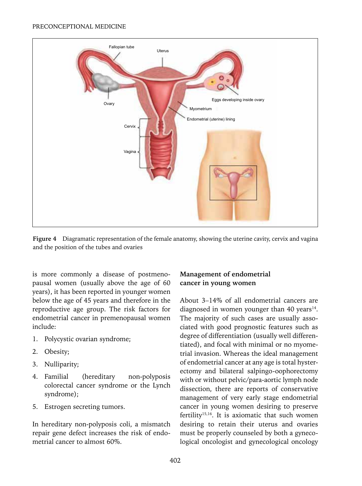

**Figure 4** Diagramatic representation of the female anatomy, showing the uterine cavity, cervix and vagina and the position of the tubes and ovaries

is more commonly a disease of postmenopausal women (usually above the age of 60 years), it has been reported in younger women below the age of 45 years and therefore in the reproductive age group. The risk factors for endometrial cancer in premenopausal women include:

- 1. Polycystic ovarian syndrome;
- 2. Obesity;
- 3. Nulliparity;
- 4. Familial (hereditary non-polyposis colorectal cancer syndrome or the Lynch syndrome);
- 5. Estrogen secreting tumors.

In hereditary non-polyposis coli, a mismatch repair gene defect increases the risk of endometrial cancer to almost 60%.

# **Management of endometrial cancer in young women**

About 3–14% of all endometrial cancers are diagnosed in women younger than 40 years $14$ . The majority of such cases are usually associated with good prognostic features such as degree of differentiation (usually well differentiated), and focal with minimal or no myometrial invasion. Whereas the ideal management of endometrial cancer at any age is total hysterectomy and bilateral salpingo-oophorectomy with or without pelvic/para-aortic lymph node dissection, there are reports of conservative management of very early stage endometrial cancer in young women desiring to preserve fertility15,16. It is axiomatic that such women desiring to retain their uterus and ovaries must be properly counseled by both a gynecological oncologist and gynecological oncology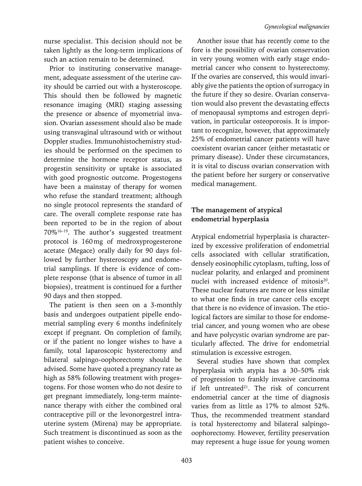nurse specialist. This decision should not be taken lightly as the long-term implications of such an action remain to be determined.

Prior to instituting conservative management, adequate assessment of the uterine cavity should be carried out with a hysteroscope. This should then be followed by magnetic resonance imaging (MRI) staging assessing the presence or absence of myometrial invasion. Ovarian assessment should also be made using transvaginal ultrasound with or without Doppler studies. Immunohistochemistry studies should be performed on the specimen to determine the hormone receptor status, as progestin sensitivity or uptake is associated with good prognostic outcome. Progestogens have been a mainstay of therapy for women who refuse the standard treatment; although no single protocol represents the standard of care. The overall complete response rate has been reported to be in the region of about 70%16–19. The author's suggested treatment protocol is 160mg of medroxyprogesterone acetate (Megace) orally daily for 90 days followed by further hysteroscopy and endometrial samplings. If there is evidence of complete response (that is absence of tumor in all biopsies), treatment is continued for a further 90 days and then stopped.

The patient is then seen on a 3-monthly basis and undergoes outpatient pipelle endometrial sampling every 6 months indefinitely except if pregnant. On completion of family, or if the patient no longer wishes to have a family, total laparoscopic hysterectomy and bilateral salpingo-oophorectomy should be advised. Some have quoted a pregnancy rate as high as 58% following treatment with progestogens. For those women who do not desire to get pregnant immediately, long-term maintenance therapy with either the combined oral contraceptive pill or the levonorgestrel intrauterine system (Mirena) may be appropriate. Such treatment is discontinued as soon as the patient wishes to conceive.

Another issue that has recently come to the fore is the possibility of ovarian conservation in very young women with early stage endometrial cancer who consent to hysterectomy. If the ovaries are conserved, this would invariably give the patients the option of surrogacy in the future if they so desire. Ovarian conservation would also prevent the devastating effects of menopausal symptoms and estrogen deprivation, in particular osteoporosis. It is important to recognize, however, that approximately 25% of endometrial cancer patients will have coexistent ovarian cancer (either metastatic or primary disease). Under these circumstances, it is vital to discuss ovarian conservation with the patient before her surgery or conservative medical management.

# **The management of atypical endometrial hyperplasia**

Atypical endometrial hyperplasia is characterized by excessive proliferation of endometrial cells associated with cellular stratification, densely eosinophilic cytoplasm, tufting, loss of nuclear polarity, and enlarged and prominent nuclei with increased evidence of mitosis<sup>20</sup>. These nuclear features are more or less similar to what one finds in true cancer cells except that there is no evidence of invasion. The etiological factors are similar to those for endometrial cancer, and young women who are obese and have polycystic ovarian syndrome are particularly affected. The drive for endometrial stimulation is excessive estrogen.

Several studies have shown that complex hyperplasia with atypia has a 30–50% risk of progression to frankly invasive carcinoma if left untreated $21$ . The risk of concurrent endometrial cancer at the time of diagnosis varies from as little as 17% to almost 52%. Thus, the recommended treatment standard is total hysterectomy and bilateral salpingooophorectomy. However, fertility preservation may represent a huge issue for young women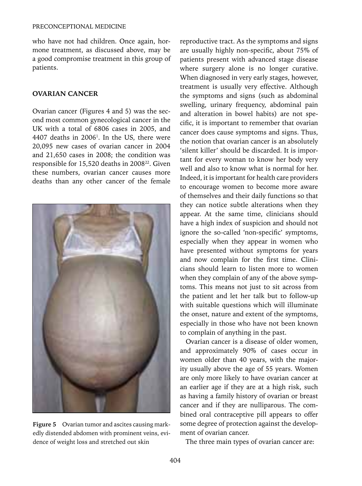who have not had children. Once again, hormone treatment, as discussed above, may be a good compromise treatment in this group of patients.

#### **OVARIAN CANCER**

Ovarian cancer (Figures 4 and 5) was the second most common gynecological cancer in the UK with a total of 6806 cases in 2005, and  $4407$  deaths in  $2006<sup>1</sup>$ . In the US, there were 20,095 new cases of ovarian cancer in 2004 and 21,650 cases in 2008; the condition was responsible for 15,520 deaths in 2008<sup>22</sup>. Given these numbers, ovarian cancer causes more deaths than any other cancer of the female



**Figure 5** Ovarian tumor and ascites causing markedly distended abdomen with prominent veins, evidence of weight loss and stretched out skin

reproductive tract. As the symptoms and signs are usually highly non-specific, about 75% of patients present with advanced stage disease where surgery alone is no longer curative. When diagnosed in very early stages, however, treatment is usually very effective. Although the symptoms and signs (such as abdominal swelling, urinary frequency, abdominal pain and alteration in bowel habits) are not specific, it is important to remember that ovarian cancer does cause symptoms and signs. Thus, the notion that ovarian cancer is an absolutely 'silent killer' should be discarded. It is important for every woman to know her body very well and also to know what is normal for her. Indeed, it is important for health care providers to encourage women to become more aware of themselves and their daily functions so that they can notice subtle alterations when they appear. At the same time, clinicians should have a high index of suspicion and should not ignore the so-called 'non-specific' symptoms, especially when they appear in women who have presented without symptoms for years and now complain for the first time. Clinicians should learn to listen more to women when they complain of any of the above symptoms. This means not just to sit across from the patient and let her talk but to follow-up with suitable questions which will illuminate the onset, nature and extent of the symptoms, especially in those who have not been known to complain of anything in the past.

Ovarian cancer is a disease of older women, and approximately 90% of cases occur in women older than 40 years, with the majority usually above the age of 55 years. Women are only more likely to have ovarian cancer at an earlier age if they are at a high risk, such as having a family history of ovarian or breast cancer and if they are nulliparous. The combined oral contraceptive pill appears to offer some degree of protection against the development of ovarian cancer.

The three main types of ovarian cancer are: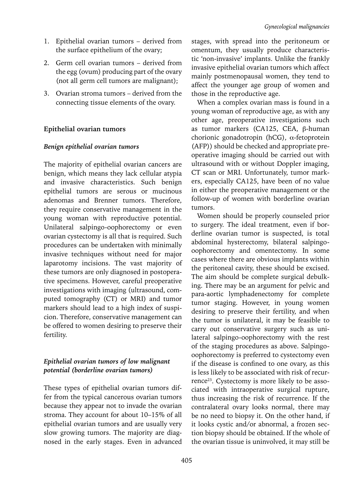- 1. Epithelial ovarian tumors derived from the surface epithelium of the ovary;
- 2. Germ cell ovarian tumors derived from the egg (ovum) producing part of the ovary (not all germ cell tumors are malignant);
- 3. Ovarian stroma tumors derived from the connecting tissue elements of the ovary.

# **Epithelial ovarian tumors**

## *Benign epithelial ovarian tumors*

The majority of epithelial ovarian cancers are benign, which means they lack cellular atypia and invasive characteristics. Such benign epithelial tumors are serous or mucinous adenomas and Brenner tumors. Therefore, they require conservative management in the young woman with reproductive potential. Unilateral salpingo-oophorectomy or even ovarian cystectomy is all that is required. Such procedures can be undertaken with minimally invasive techniques without need for major laparotomy incisions. The vast majority of these tumors are only diagnosed in postoperative specimens. However, careful preoperative investigations with imaging (ultrasound, computed tomography (CT) or MRI) and tumor markers should lead to a high index of suspicion. Therefore, conservative management can be offered to women desiring to preserve their fertility.

# *Epithelial ovarian tumors of low malignant potential (borderline ovarian tumors)*

These types of epithelial ovarian tumors differ from the typical cancerous ovarian tumors because they appear not to invade the ovarian stroma. They account for about 10–15% of all epithelial ovarian tumors and are usually very slow growing tumors. The majority are diagnosed in the early stages. Even in advanced stages, with spread into the peritoneum or omentum, they usually produce characteristic 'non-invasive' implants. Unlike the frankly invasive epithelial ovarian tumors which affect mainly postmenopausal women, they tend to affect the younger age group of women and those in the reproductive age.

When a complex ovarian mass is found in a young woman of reproductive age, as with any other age, preoperative investigations such as tumor markers (CA125, CEA, β-human chorionic gonadotropin (hCG), α-fetoprotein (AFP)) should be checked and appropriate preoperative imaging should be carried out with ultrasound with or without Doppler imaging, CT scan or MRI. Unfortunately, tumor markers, especially CA125, have been of no value in either the preoperative management or the follow-up of women with borderline ovarian tumors.

Women should be properly counseled prior to surgery. The ideal treatment, even if borderline ovarian tumor is suspected, is total abdominal hysterectomy, bilateral salpingooophorectomy and omentectomy. In some cases where there are obvious implants within the peritoneal cavity, these should be excised. The aim should be complete surgical debulking. There may be an argument for pelvic and para-aortic lymphadenectomy for complete tumor staging. However, in young women desiring to preserve their fertility, and when the tumor is unilateral, it may be feasible to carry out conservative surgery such as unilateral salpingo-oophorectomy with the rest of the staging procedures as above. Salpingooophorectomy is preferred to cystectomy even if the disease is confined to one ovary, as this is less likely to be associated with risk of recurrence<sup>23</sup>. Cystectomy is more likely to be associated with intraoperative surgical rupture, thus increasing the risk of recurrence. If the contralateral ovary looks normal, there may be no need to biopsy it. On the other hand, if it looks cystic and/or abnormal, a frozen section biopsy should be obtained. If the whole of the ovarian tissue is uninvolved, it may still be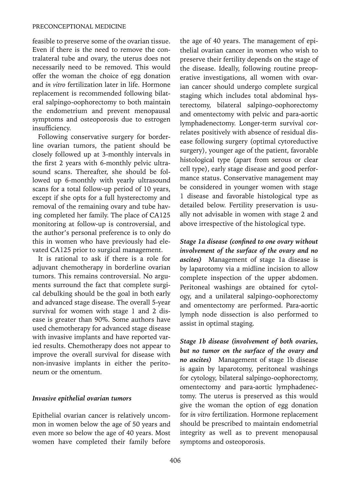feasible to preserve some of the ovarian tissue. Even if there is the need to remove the contralateral tube and ovary, the uterus does not necessarily need to be removed. This would offer the woman the choice of egg donation and *in vitro* fertilization later in life. Hormone replacement is recommended following bilateral salpingo-oophorectomy to both maintain the endometrium and prevent menopausal symptoms and osteoporosis due to estrogen insufficiency.

Following conservative surgery for borderline ovarian tumors, the patient should be closely followed up at 3-monthly intervals in the first 2 years with 6-monthly pelvic ultrasound scans. Thereafter, she should be followed up 6-monthly with yearly ultrasound scans for a total follow-up period of 10 years, except if she opts for a full hysterectomy and removal of the remaining ovary and tube having completed her family. The place of CA125 monitoring at follow-up is controversial, and the author's personal preference is to only do this in women who have previously had elevated CA125 prior to surgical management.

It is rational to ask if there is a role for adjuvant chemotherapy in borderline ovarian tumors. This remains controversial. No arguments surround the fact that complete surgical debulking should be the goal in both early and advanced stage disease. The overall 5-year survival for women with stage 1 and 2 disease is greater than 90%. Some authors have used chemotherapy for advanced stage disease with invasive implants and have reported varied results. Chemotherapy does not appear to improve the overall survival for disease with non-invasive implants in either the peritoneum or the omentum.

#### *Invasive epithelial ovarian tumors*

Epithelial ovarian cancer is relatively uncommon in women below the age of 50 years and even more so below the age of 40 years. Most women have completed their family before the age of 40 years. The management of epithelial ovarian cancer in women who wish to preserve their fertility depends on the stage of the disease. Ideally, following routine preoperative investigations, all women with ovarian cancer should undergo complete surgical staging which includes total abdominal hysterectomy, bilateral salpingo-oophorectomy and omentectomy with pelvic and para-aortic lymphadenectomy. Longer-term survival correlates positively with absence of residual disease following surgery (optimal cytoreductive surgery), younger age of the patient, favorable histological type (apart from serous or clear cell type), early stage disease and good performance status. Conservative management may be considered in younger women with stage 1 disease and favorable histological type as detailed below. Fertility preservation is usually not advisable in women with stage 2 and above irrespective of the histological type.

*Stage 1a disease (confined to one ovary without involvement of the surface of the ovary and no ascites)* Management of stage 1a disease is by laparotomy via a midline incision to allow complete inspection of the upper abdomen. Peritoneal washings are obtained for cytology, and a unilateral salpingo-oophorectomy and omentectomy are performed. Para-aortic lymph node dissection is also performed to assist in optimal staging.

*Stage 1b disease (involvement of both ovaries, but no tumor on the surface of the ovary and no ascites)* Management of stage 1b disease is again by laparotomy, peritoneal washings for cytology, bilateral salpingo-oophorectomy, omentectomy and para-aortic lymphadenectomy. The uterus is preserved as this would give the woman the option of egg donation for *in vitro* fertilization. Hormone replacement should be prescribed to maintain endometrial integrity as well as to prevent menopausal symptoms and osteoporosis.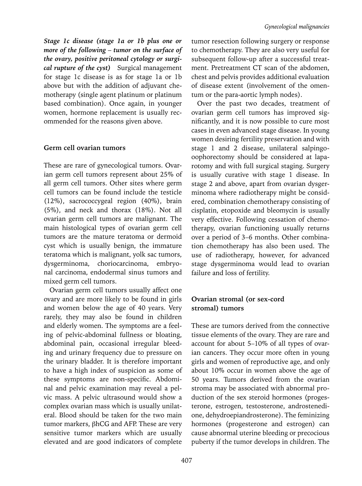*Stage 1c disease (stage 1a or 1b plus one or more of the following – tumor on the surface of the ovary, positive peritoneal cytology or surgical rupture of the cyst)* Surgical management for stage 1c disease is as for stage 1a or 1b above but with the addition of adjuvant chemotherapy (single agent platinum or platinum based combination). Once again, in younger women, hormone replacement is usually recommended for the reasons given above.

## **Germ cell ovarian tumors**

These are rare of gynecological tumors. Ovarian germ cell tumors represent about 25% of all germ cell tumors. Other sites where germ cell tumors can be found include the testicle (12%), sacrococcygeal region (40%), brain (5%), and neck and thorax (18%). Not all ovarian germ cell tumors are malignant. The main histological types of ovarian germ cell tumors are the mature teratoma or dermoid cyst which is usually benign, the immature teratoma which is malignant, yolk sac tumors, dysgerminoma, choriocarcinoma, embryonal carcinoma, endodermal sinus tumors and mixed germ cell tumors.

Ovarian germ cell tumors usually affect one ovary and are more likely to be found in girls and women below the age of 40 years. Very rarely, they may also be found in children and elderly women. The symptoms are a feeling of pelvic-abdominal fullness or bloating, abdominal pain, occasional irregular bleeding and urinary frequency due to pressure on the urinary bladder. It is therefore important to have a high index of suspicion as some of these symptoms are non-specific. Abdominal and pelvic examination may reveal a pelvic mass. A pelvic ultrasound would show a complex ovarian mass which is usually unilateral. Blood should be taken for the two main tumor markers, βhCG and AFP. These are very sensitive tumor markers which are usually elevated and are good indicators of complete

tumor resection following surgery or response to chemotherapy. They are also very useful for subsequent follow-up after a successful treatment. Pretreatment CT scan of the abdomen, chest and pelvis provides additional evaluation of disease extent (involvement of the omentum or the para-aortic lymph nodes).

Over the past two decades, treatment of ovarian germ cell tumors has improved significantly, and it is now possible to cure most cases in even advanced stage disease. In young women desiring fertility preservation and with stage 1 and 2 disease, unilateral salpingooophorectomy should be considered at laparotomy and with full surgical staging. Surgery is usually curative with stage 1 disease. In stage 2 and above, apart from ovarian dysgerminoma where radiotherapy might be considered, combination chemotherapy consisting of cisplatin, etopoxide and bleomycin is usually very effective. Following cessation of chemotherapy, ovarian functioning usually returns over a period of 3–6 months. Other combination chemotherapy has also been used. The use of radiotherapy, however, for advanced stage dysgerminoma would lead to ovarian failure and loss of fertility.

# **Ovarian stromal (or sex-cord stromal) tumors**

These are tumors derived from the connective tissue elements of the ovary. They are rare and account for about 5–10% of all types of ovarian cancers. They occur more often in young girls and women of reproductive age, and only about 10% occur in women above the age of 50 years. Tumors derived from the ovarian stroma may be associated with abnormal production of the sex steroid hormones (progesterone, estrogen, testosterone, androstenedione, dehydroepiandrosterone). The feminizing hormones (progesterone and estrogen) can cause abnormal uterine bleeding or precocious puberty if the tumor develops in children. The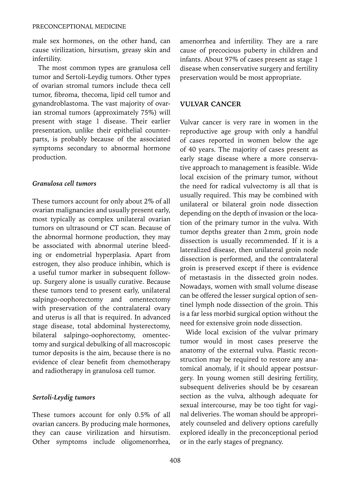male sex hormones, on the other hand, can cause virilization, hirsutism, greasy skin and infertility.

The most common types are granulosa cell tumor and Sertoli-Leydig tumors. Other types of ovarian stromal tumors include theca cell tumor, fibroma, thecoma, lipid cell tumor and gynandroblastoma. The vast majority of ovarian stromal tumors (approximately 75%) will present with stage 1 disease. Their earlier presentation, unlike their epithelial counterparts, is probably because of the associated symptoms secondary to abnormal hormone production.

#### *Granulosa cell tumors*

These tumors account for only about 2% of all ovarian malignancies and usually present early, most typically as complex unilateral ovarian tumors on ultrasound or CT scan. Because of the abnormal hormone production, they may be associated with abnormal uterine bleeding or endometrial hyperplasia. Apart from estrogen, they also produce inhibin, which is a useful tumor marker in subsequent followup. Surgery alone is usually curative. Because these tumors tend to present early, unilateral salpingo-oophorectomy and omentectomy with preservation of the contralateral ovary and uterus is all that is required. In advanced stage disease, total abdominal hysterectomy, bilateral salpingo-oophorectomy, omentectomy and surgical debulking of all macroscopic tumor deposits is the aim, because there is no evidence of clear benefit from chemotherapy and radiotherapy in granulosa cell tumor.

#### *Sertoli-Leydig tumors*

These tumors account for only 0.5% of all ovarian cancers. By producing male hormones, they can cause virilization and hirsutism. Other symptoms include oligomenorrhea, amenorrhea and infertility. They are a rare cause of precocious puberty in children and infants. About 97% of cases present as stage 1 disease when conservative surgery and fertility preservation would be most appropriate.

#### **VULVAR CANCER**

Vulvar cancer is very rare in women in the reproductive age group with only a handful of cases reported in women below the age of 40 years. The majority of cases present as early stage disease where a more conservative approach to management is feasible. Wide local excision of the primary tumor, without the need for radical vulvectomy is all that is usually required. This may be combined with unilateral or bilateral groin node dissection depending on the depth of invasion or the location of the primary tumor in the vulva. With tumor depths greater than 2mm, groin node dissection is usually recommended. If it is a lateralized disease, then unilateral groin node dissection is performed, and the contralateral groin is preserved except if there is evidence of metastasis in the dissected groin nodes. Nowadays, women with small volume disease can be offered the lesser surgical option of sentinel lymph node dissection of the groin. This is a far less morbid surgical option without the need for extensive groin node dissection.

Wide local excision of the vulvar primary tumor would in most cases preserve the anatomy of the external vulva. Plastic reconstruction may be required to restore any anatomical anomaly, if it should appear postsurgery. In young women still desiring fertility, subsequent deliveries should be by cesarean section as the vulva, although adequate for sexual intercourse, may be too tight for vaginal deliveries. The woman should be appropriately counseled and delivery options carefully explored ideally in the preconceptional period or in the early stages of pregnancy.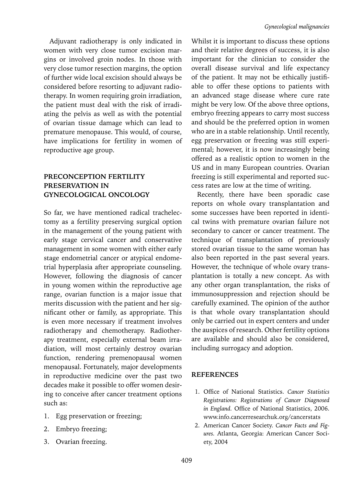Adjuvant radiotherapy is only indicated in women with very close tumor excision margins or involved groin nodes. In those with very close tumor resection margins, the option of further wide local excision should always be considered before resorting to adjuvant radiotherapy. In women requiring groin irradiation, the patient must deal with the risk of irradiating the pelvis as well as with the potential of ovarian tissue damage which can lead to premature menopause. This would, of course, have implications for fertility in women of reproductive age group.

## **PRECONCEPTION FERTILITY PRESERVATION IN GYNECOLOGICAL ONCOLOGY**

So far, we have mentioned radical trachelectomy as a fertility preserving surgical option in the management of the young patient with early stage cervical cancer and conservative management in some women with either early stage endometrial cancer or atypical endometrial hyperplasia after appropriate counseling. However, following the diagnosis of cancer in young women within the reproductive age range, ovarian function is a major issue that merits discussion with the patient and her significant other or family, as appropriate. This is even more necessary if treatment involves radiotherapy and chemotherapy. Radiotherapy treatment, especially external beam irradiation, will most certainly destroy ovarian function, rendering premenopausal women menopausal. Fortunately, major developments in reproductive medicine over the past two decades make it possible to offer women desiring to conceive after cancer treatment options such as:

- 1. Egg preservation or freezing;
- 2. Embryo freezing;
- 3. Ovarian freezing.

Whilst it is important to discuss these options and their relative degrees of success, it is also important for the clinician to consider the overall disease survival and life expectancy of the patient. It may not be ethically justifiable to offer these options to patients with an advanced stage disease where cure rate might be very low. Of the above three options, embryo freezing appears to carry most success and should be the preferred option in women who are in a stable relationship. Until recently, egg preservation or freezing was still experimental; however, it is now increasingly being offered as a realistic option to women in the US and in many European countries. Ovarian freezing is still experimental and reported success rates are low at the time of writing.

Recently, there have been sporadic case reports on whole ovary transplantation and some successes have been reported in identical twins with premature ovarian failure not secondary to cancer or cancer treatment. The technique of transplantation of previously stored ovarian tissue to the same woman has also been reported in the past several years. However, the technique of whole ovary transplantation is totally a new concept. As with any other organ transplantation, the risks of immunosuppression and rejection should be carefully examined. The opinion of the author is that whole ovary transplantation should only be carried out in expert centers and under the auspices of research. Other fertility options are available and should also be considered, including surrogacy and adoption.

## **References**

- 1. Office of National Statistics. *Cancer Statistics Registrations: Registrations of Cancer Diagnosed in England.* Office of National Statistics, 2006. www.info.cancerresearchuk.org/cancerstats
- 2. American Cancer Society. *Cancer Facts and Figures.* Atlanta, Georgia: American Cancer Society, 2004